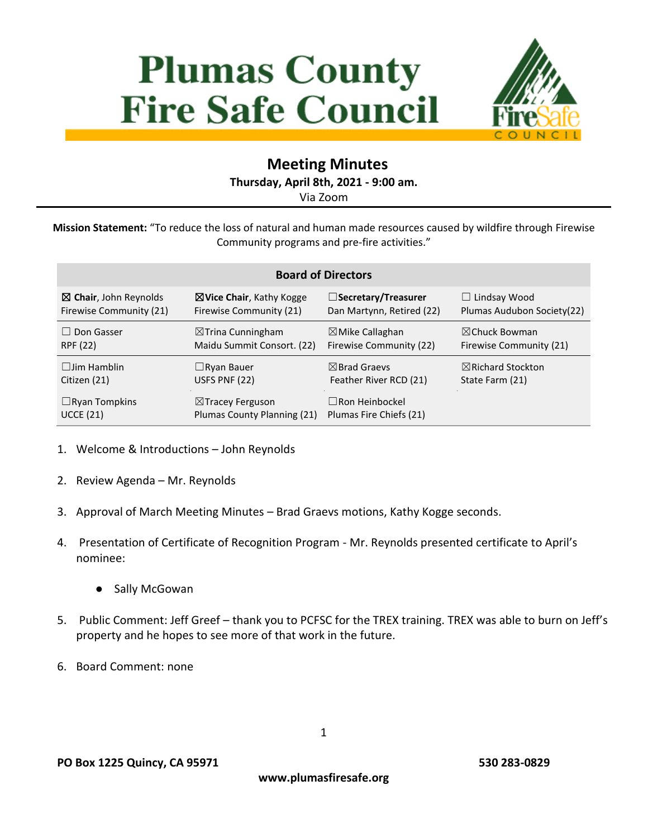# **Plumas County Fire Safe Council**



# **Meeting Minutes**

**Thursday, April 8th, 2021 - 9:00 am.**

Via Zoom

**Mission Statement:** "To reduce the loss of natural and human made resources caused by wildfire through Firewise Community programs and pre-fire activities."

| <b>Board of Directors</b>        |                                     |                            |                              |
|----------------------------------|-------------------------------------|----------------------------|------------------------------|
| $\boxtimes$ Chair, John Reynolds | $\boxtimes$ Vice Chair, Kathy Kogge | □Secretary/Treasurer       | $\Box$ Lindsay Wood          |
| Firewise Community (21)          | Firewise Community (21)             | Dan Martynn, Retired (22)  | Plumas Audubon Society (22)  |
| $\Box$ Don Gasser                | $\boxtimes$ Trina Cunningham        | $\boxtimes$ Mike Callaghan | $\boxtimes$ Chuck Bowman     |
| RPF (22)                         | Maidu Summit Consort. (22)          | Firewise Community (22)    | Firewise Community (21)      |
| $\Box$ lim Hamblin               | $\Box$ Ryan Bauer                   | $\boxtimes$ Brad Graevs    | $\boxtimes$ Richard Stockton |
| Citizen (21)                     | USFS PNF (22)                       | Feather River RCD (21)     | State Farm (21)              |
| $\Box$ Ryan Tompkins             | $\boxtimes$ Tracey Ferguson         | $\Box$ Ron Heinbockel      |                              |
| <b>UCCE (21)</b>                 | Plumas County Planning (21)         | Plumas Fire Chiefs (21)    |                              |

- 1. Welcome & Introductions John Reynolds
- 2. Review Agenda Mr. Reynolds
- 3. Approval of March Meeting Minutes Brad Graevs motions, Kathy Kogge seconds.
- 4. Presentation of Certificate of Recognition Program Mr. Reynolds presented certificate to April's nominee:
	- Sally McGowan
- 5. Public Comment: Jeff Greef thank you to PCFSC for the TREX training. TREX was able to burn on Jeff's property and he hopes to see more of that work in the future.
- 6. Board Comment: none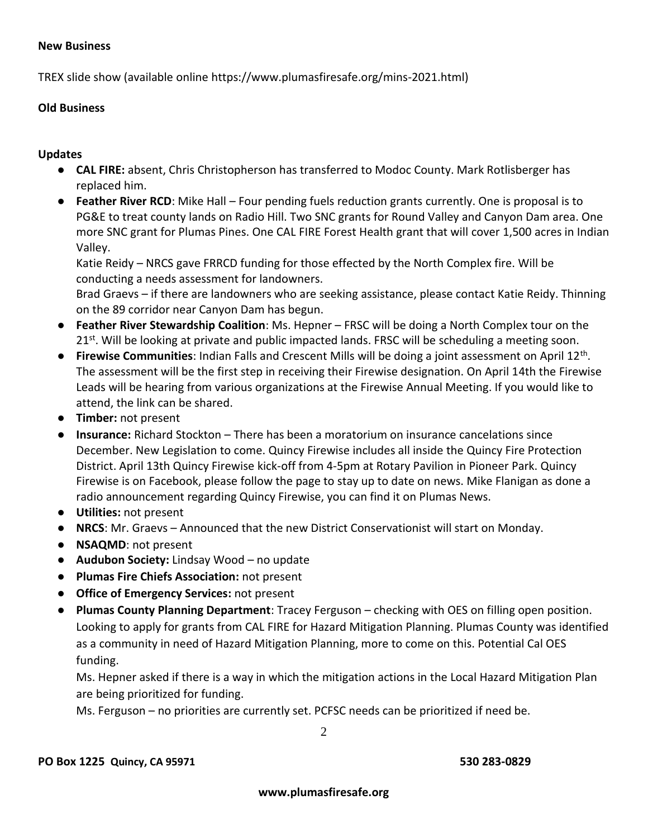#### **New Business**

TREX slide show (available online https://www.plumasfiresafe.org/mins-2021.html)

### **Old Business**

## **Updates**

- **CAL FIRE:** absent, Chris Christopherson has transferred to Modoc County. Mark Rotlisberger has replaced him.
- **Feather River RCD**: Mike Hall Four pending fuels reduction grants currently. One is proposal is to PG&E to treat county lands on Radio Hill. Two SNC grants for Round Valley and Canyon Dam area. One more SNC grant for Plumas Pines. One CAL FIRE Forest Health grant that will cover 1,500 acres in Indian Valley.

Katie Reidy – NRCS gave FRRCD funding for those effected by the North Complex fire. Will be conducting a needs assessment for landowners.

Brad Graevs – if there are landowners who are seeking assistance, please contact Katie Reidy. Thinning on the 89 corridor near Canyon Dam has begun.

- **Feather River Stewardship Coalition**: Ms. Hepner FRSC will be doing a North Complex tour on the 21<sup>st</sup>. Will be looking at private and public impacted lands. FRSC will be scheduling a meeting soon.
- **Firewise Communities**: Indian Falls and Crescent Mills will be doing a joint assessment on April 12th . The assessment will be the first step in receiving their Firewise designation. On April 14th the Firewise Leads will be hearing from various organizations at the Firewise Annual Meeting. If you would like to attend, the link can be shared.
- **Timber:** not present
- **Insurance:** Richard Stockton There has been a moratorium on insurance cancelations since December. New Legislation to come. Quincy Firewise includes all inside the Quincy Fire Protection District. April 13th Quincy Firewise kick-off from 4-5pm at Rotary Pavilion in Pioneer Park. Quincy Firewise is on Facebook, please follow the page to stay up to date on news. Mike Flanigan as done a radio announcement regarding Quincy Firewise, you can find it on Plumas News.
- **Utilities:** not present
- **NRCS**: Mr. Graevs Announced that the new District Conservationist will start on Monday.
- **NSAQMD**: not present
- **Audubon Society:** Lindsay Wood no update
- **Plumas Fire Chiefs Association:** not present
- **Office of Emergency Services:** not present
- **Plumas County Planning Department**: Tracey Ferguson checking with OES on filling open position. Looking to apply for grants from CAL FIRE for Hazard Mitigation Planning. Plumas County was identified as a community in need of Hazard Mitigation Planning, more to come on this. Potential Cal OES funding.

Ms. Hepner asked if there is a way in which the mitigation actions in the Local Hazard Mitigation Plan are being prioritized for funding.

Ms. Ferguson – no priorities are currently set. PCFSC needs can be prioritized if need be.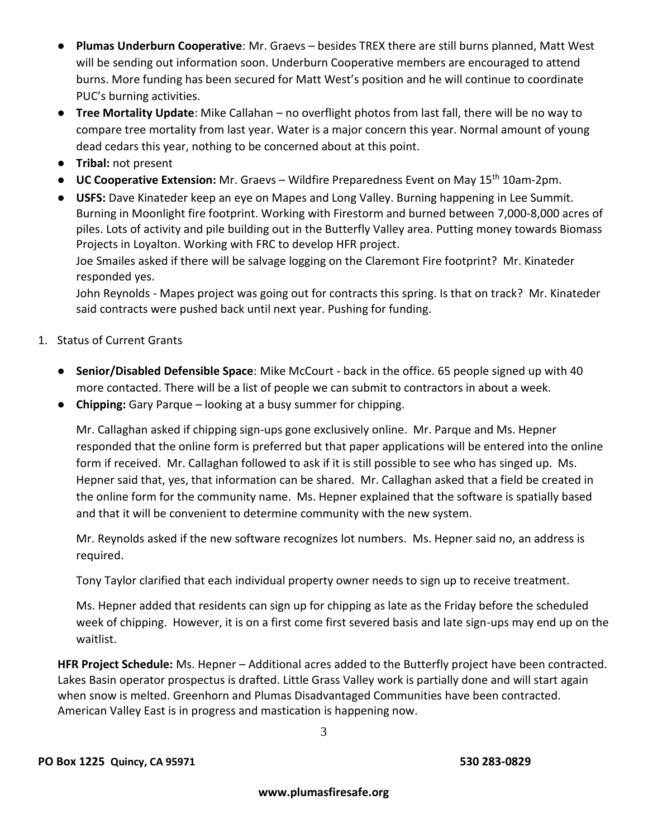- Plumas Underburn Cooperative: Mr. Graevs besides TREX there are still burns planned, Matt West will be sending out information soon. Underburn Cooperative members are encouraged to attend burns. More funding has been secured for Matt West's position and he will continue to coordinate PUC's burning activities.
- **Tree Mortality Update**: Mike Callahan no overflight photos from last fall, there will be no way to compare tree mortality from last year. Water is a major concern this year. Normal amount of young dead cedars this year, nothing to be concerned about at this point.
- **Tribal:** not present
- **UC Cooperative Extension:** Mr. Graevs Wildfire Preparedness Event on May 15th 10am-2pm.
- **USFS:** Dave Kinateder keep an eye on Mapes and Long Valley. Burning happening in Lee Summit. Burning in Moonlight fire footprint. Working with Firestorm and burned between 7,000-8,000 acres of piles. Lots of activity and pile building out in the Butterfly Valley area. Putting money towards Biomass Projects in Loyalton. Working with FRC to develop HFR project.

Joe Smailes asked if there will be salvage logging on the Claremont Fire footprint? Mr. Kinateder responded yes.

John Reynolds - Mapes project was going out for contracts this spring. Is that on track? Mr. Kinateder said contracts were pushed back until next year. Pushing for funding.

- 1. Status of Current Grants
	- **Senior/Disabled Defensible Space**: Mike McCourt back in the office. 65 people signed up with 40 more contacted. There will be a list of people we can submit to contractors in about a week.
	- **Chipping:** Gary Parque looking at a busy summer for chipping.

Mr. Callaghan asked if chipping sign-ups gone exclusively online. Mr. Parque and Ms. Hepner responded that the online form is preferred but that paper applications will be entered into the online form if received. Mr. Callaghan followed to ask if it is still possible to see who has singed up. Ms. Hepner said that, yes, that information can be shared. Mr. Callaghan asked that a field be created in the online form for the community name. Ms. Hepner explained that the software is spatially based and that it will be convenient to determine community with the new system.

Mr. Reynolds asked if the new software recognizes lot numbers. Ms. Hepner said no, an address is required.

Tony Taylor clarified that each individual property owner needs to sign up to receive treatment.

Ms. Hepner added that residents can sign up for chipping as late as the Friday before the scheduled week of chipping. However, it is on a first come first severed basis and late sign-ups may end up on the waitlist.

**HFR Project Schedule:** Ms. Hepner – Additional acres added to the Butterfly project have been contracted. Lakes Basin operator prospectus is drafted. Little Grass Valley work is partially done and will start again when snow is melted. Greenhorn and Plumas Disadvantaged Communities have been contracted. American Valley East is in progress and mastication is happening now.

3